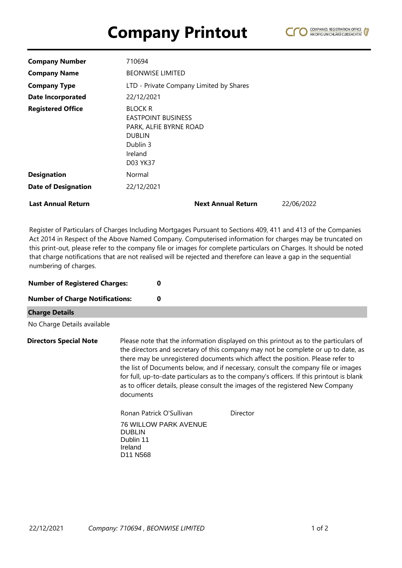## **Company Printout**



| <b>Company Number</b>      | 710694                                                                                                                           |            |  |  |
|----------------------------|----------------------------------------------------------------------------------------------------------------------------------|------------|--|--|
| <b>Company Name</b>        | <b>BEONWISE LIMITED</b>                                                                                                          |            |  |  |
| <b>Company Type</b>        | LTD - Private Company Limited by Shares                                                                                          |            |  |  |
| <b>Date Incorporated</b>   | 22/12/2021                                                                                                                       |            |  |  |
| <b>Registered Office</b>   | <b>BLOCK R</b><br><b>EASTPOINT BUSINESS</b><br>PARK, ALFIE BYRNE ROAD<br><b>DUBLIN</b><br>Dublin 3<br>Ireland<br><b>D03 YK37</b> |            |  |  |
| <b>Designation</b>         | Normal                                                                                                                           |            |  |  |
| <b>Date of Designation</b> | 22/12/2021                                                                                                                       |            |  |  |
| <b>Last Annual Return</b>  | <b>Next Annual Return</b>                                                                                                        | 22/06/2022 |  |  |

Register of Particulars of Charges Including Mortgages Pursuant to Sections 409, 411 and 413 of the Companies Act 2014 in Respect of the Above Named Company. Computerised information for charges may be truncated on this print-out, please refer to the company file or images for complete particulars on Charges. It should be noted that charge notifications that are not realised will be rejected and therefore can leave a gap in the sequential numbering of charges.

| <b>Number of Registered Charges:</b><br><b>Number of Charge Notifications:</b> |                                                                           | 0<br>0                                                                                                                                                                                                                                                                                                                                                                                                                                                                                                                         |          |  |
|--------------------------------------------------------------------------------|---------------------------------------------------------------------------|--------------------------------------------------------------------------------------------------------------------------------------------------------------------------------------------------------------------------------------------------------------------------------------------------------------------------------------------------------------------------------------------------------------------------------------------------------------------------------------------------------------------------------|----------|--|
|                                                                                |                                                                           |                                                                                                                                                                                                                                                                                                                                                                                                                                                                                                                                |          |  |
| No Charge Details available                                                    |                                                                           |                                                                                                                                                                                                                                                                                                                                                                                                                                                                                                                                |          |  |
| <b>Directors Special Note</b><br>documents                                     |                                                                           | Please note that the information displayed on this printout as to the particulars of<br>the directors and secretary of this company may not be complete or up to date, as<br>there may be unregistered documents which affect the position. Please refer to<br>the list of Documents below, and if necessary, consult the company file or images<br>for full, up-to-date particulars as to the company's officers. If this printout is blank<br>as to officer details, please consult the images of the registered New Company |          |  |
|                                                                                |                                                                           | Ronan Patrick O'Sullivan                                                                                                                                                                                                                                                                                                                                                                                                                                                                                                       | Director |  |
|                                                                                | <b>DUBLIN</b><br>Dublin 11<br>Ireland<br>D <sub>11</sub> N <sub>568</sub> | <b>76 WILLOW PARK AVENUE</b>                                                                                                                                                                                                                                                                                                                                                                                                                                                                                                   |          |  |
|                                                                                |                                                                           |                                                                                                                                                                                                                                                                                                                                                                                                                                                                                                                                |          |  |